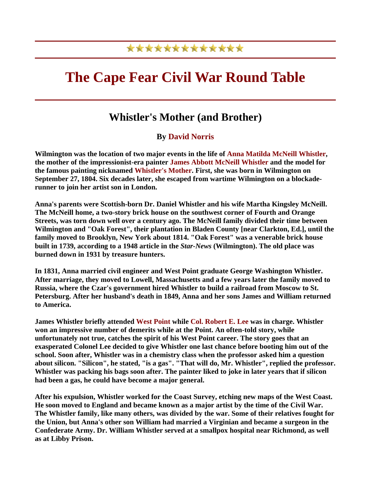## \*\*\*\*\*\*\*\*\*\*\*\*\*

# **The Cape Fear Civil War Round Table**

## **Whistler's Mother (and Brother)**

#### **By David Norris**

**Wilmington was the location of two major events in the life of Anna Matilda McNeill Whistler, the mother of the impressionist-era painter James Abbott McNeill Whistler and the model for the famous painting nicknamed Whistler's Mother. First, she was born in Wilmington on September 27, 1804. Six decades later, she escaped from wartime Wilmington on a blockaderunner to join her artist son in London.** 

**Anna's parents were Scottish-born Dr. Daniel Whistler and his wife Martha Kingsley McNeill. The McNeill home, a two-story brick house on the southwest corner of Fourth and Orange Streets, was torn down well over a century ago. The McNeill family divided their time between Wilmington and "Oak Forest", their plantation in Bladen County [near Clarkton, Ed.], until the family moved to Brooklyn, New York about 1814. "Oak Forest" was a venerable brick house built in 1739, according to a 1948 article in the** *Star-News* **(Wilmington). The old place was burned down in 1931 by treasure hunters.** 

**In 1831, Anna married civil engineer and West Point graduate George Washington Whistler. After marriage, they moved to Lowell, Massachusetts and a few years later the family moved to Russia, where the Czar's government hired Whistler to build a railroad from Moscow to St. Petersburg. After her husband's death in 1849, Anna and her sons James and William returned to America.** 

**James Whistler briefly attended West Point while Col. Robert E. Lee was in charge. Whistler won an impressive number of demerits while at the Point. An often-told story, while unfortunately not true, catches the spirit of his West Point career. The story goes that an exasperated Colonel Lee decided to give Whistler one last chance before booting him out of the school. Soon after, Whistler was in a chemistry class when the professor asked him a question about silicon. "Silicon", he stated, "is a gas". "That will do, Mr. Whistler", replied the professor. Whistler was packing his bags soon after. The painter liked to joke in later years that if silicon had been a gas, he could have become a major general.** 

**After his expulsion, Whistler worked for the Coast Survey, etching new maps of the West Coast. He soon moved to England and became known as a major artist by the time of the Civil War. The Whistler family, like many others, was divided by the war. Some of their relatives fought for the Union, but Anna's other son William had married a Virginian and became a surgeon in the Confederate Army. Dr. William Whistler served at a smallpox hospital near Richmond, as well as at Libby Prison.**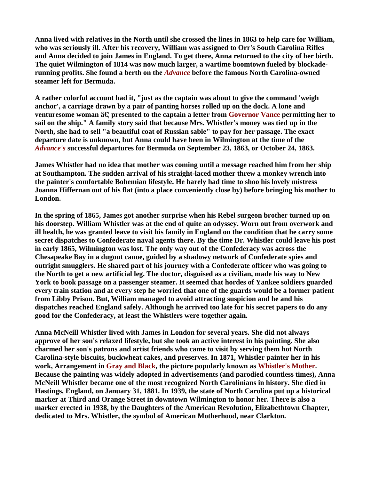**Anna lived with relatives in the North until she crossed the lines in 1863 to help care for William, who was seriously ill. After his recovery, William was assigned to Orr's South Carolina Rifles and Anna decided to join James in England. To get there, Anna returned to the city of her birth. The quiet Wilmington of 1814 was now much larger, a wartime boomtown fueled by blockaderunning profits. She found a berth on the** *Advance* **before the famous North Carolina-owned steamer left for Bermuda.** 

**A rather colorful account had it, "just as the captain was about to give the command 'weigh anchor', a carriage drawn by a pair of panting horses rolled up on the dock. A lone and venturesome woman**  $\hat{a}\in\{x\}$  **presented to the captain a letter from Governor Vance permitting her to sail on the ship." A family story said that because Mrs. Whistler's money was tied up in the North, she had to sell "a beautiful coat of Russian sable" to pay for her passage. The exact departure date is unknown, but Anna could have been in Wilmington at the time of the**  *Advance's* **successful departures for Bermuda on September 23, 1863, or October 24, 1863.** 

**James Whistler had no idea that mother was coming until a message reached him from her ship at Southampton. The sudden arrival of his straight-laced mother threw a monkey wrench into the painter's comfortable Bohemian lifestyle. He barely had time to shoo his lovely mistress Joanna Hiffernan out of his flat (into a place conveniently close by) before bringing his mother to London.** 

**In the spring of 1865, James got another surprise when his Rebel surgeon brother turned up on his doorstep. William Whistler was at the end of quite an odyssey. Worn out from overwork and ill health, he was granted leave to visit his family in England on the condition that he carry some secret dispatches to Confederate naval agents there. By the time Dr. Whistler could leave his post in early 1865, Wilmington was lost. The only way out of the Confederacy was across the Chesapeake Bay in a dugout canoe, guided by a shadowy network of Confederate spies and outright smugglers. He shared part of his journey with a Confederate officer who was going to the North to get a new artificial leg. The doctor, disguised as a civilian, made his way to New York to book passage on a passenger steamer. It seemed that hordes of Yankee soldiers guarded every train station and at every step he worried that one of the guards would be a former patient from Libby Prison. But, William managed to avoid attracting suspicion and he and his dispatches reached England safely. Although he arrived too late for his secret papers to do any good for the Confederacy, at least the Whistlers were together again.** 

**Anna McNeill Whistler lived with James in London for several years. She did not always approve of her son's relaxed lifestyle, but she took an active interest in his painting. She also charmed her son's patrons and artist friends who came to visit by serving them hot North Carolina-style biscuits, buckwheat cakes, and preserves. In 1871, Whistler painter her in his work, Arrangement in Gray and Black, the picture popularly known as Whistler's Mother. Because the painting was widely adopted in advertisements (and parodied countless times), Anna McNeill Whistler became one of the most recognized North Carolinians in history. She died in Hastings, England, on January 31, 1881. In 1939, the state of North Carolina put up a historical marker at Third and Orange Street in downtown Wilmington to honor her. There is also a marker erected in 1938, by the Daughters of the American Revolution, Elizabethtown Chapter, dedicated to Mrs. Whistler, the symbol of American Motherhood, near Clarkton.**